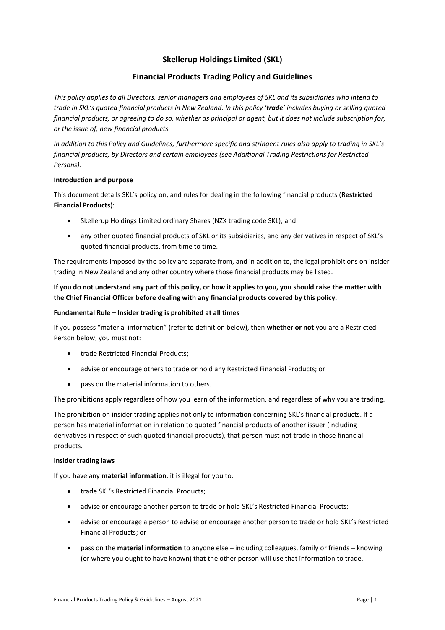# **Skellerup Holdings Limited (SKL)**

## **Financial Products Trading Policy and Guidelines**

*This policy applies to all Directors, senior managers and employees of SKL and its subsidiaries who intend to trade in SKL's quoted financial products in New Zealand. In this policy 'trade' includes buying or selling quoted financial products, or agreeing to do so, whether as principal or agent, but it does not include subscription for, or the issue of, new financial products.*

*In addition to this Policy and Guidelines, furthermore specific and stringent rules also apply to trading in SKL's financial products, by Directors and certain employees (see Additional Trading Restrictions for Restricted Persons).*

## **Introduction and purpose**

This document details SKL's policy on, and rules for dealing in the following financial products (**Restricted Financial Products**):

- Skellerup Holdings Limited ordinary Shares (NZX trading code SKL); and
- any other quoted financial products of SKL or its subsidiaries, and any derivatives in respect of SKL's quoted financial products, from time to time.

The requirements imposed by the policy are separate from, and in addition to, the legal prohibitions on insider trading in New Zealand and any other country where those financial products may be listed.

## **If you do not understand any part of this policy, or how it applies to you, you should raise the matter with the Chief Financial Officer before dealing with any financial products covered by this policy.**

## **Fundamental Rule – Insider trading is prohibited at all times**

If you possess "material information" (refer to definition below), then **whether or not** you are a Restricted Person below, you must not:

- trade Restricted Financial Products;
- advise or encourage others to trade or hold any Restricted Financial Products; or
- pass on the material information to others.

The prohibitions apply regardless of how you learn of the information, and regardless of why you are trading.

The prohibition on insider trading applies not only to information concerning SKL's financial products. If a person has material information in relation to quoted financial products of another issuer (including derivatives in respect of such quoted financial products), that person must not trade in those financial products.

#### **Insider trading laws**

If you have any **material information**, it is illegal for you to:

- trade SKL's Restricted Financial Products;
- advise or encourage another person to trade or hold SKL's Restricted Financial Products;
- advise or encourage a person to advise or encourage another person to trade or hold SKL's Restricted Financial Products; or
- pass on the **material information** to anyone else including colleagues, family or friends knowing (or where you ought to have known) that the other person will use that information to trade,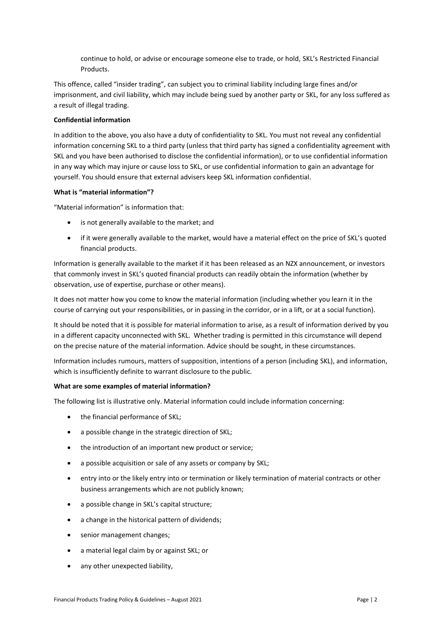continue to hold, or advise or encourage someone else to trade, or hold, SKL's Restricted Financial Products.

This offence, called "insider trading", can subject you to criminal liability including large fines and/or imprisonment, and civil liability, which may include being sued by another party or SKL, for any loss suffered as a result of illegal trading.

## **Confidential information**

In addition to the above, you also have a duty of confidentiality to SKL. You must not reveal any confidential information concerning SKL to a third party (unless that third party has signed a confidentiality agreement with SKL and you have been authorised to disclose the confidential information), or to use confidential information in any way which may injure or cause loss to SKL, or use confidential information to gain an advantage for yourself. You should ensure that external advisers keep SKL information confidential.

## **What is "material information"?**

"Material information" is information that:

- is not generally available to the market; and
- if it were generally available to the market, would have a material effect on the price of SKL's quoted financial products.

Information is generally available to the market if it has been released as an NZX announcement, or investors that commonly invest in SKL's quoted financial products can readily obtain the information (whether by observation, use of expertise, purchase or other means).

It does not matter how you come to know the material information (including whether you learn it in the course of carrying out your responsibilities, or in passing in the corridor, or in a lift, or at a social function).

It should be noted that it is possible for material information to arise, as a result of information derived by you in a different capacity unconnected with SKL. Whether trading is permitted in this circumstance will depend on the precise nature of the material information. Advice should be sought, in these circumstances.

Information includes rumours, matters of supposition, intentions of a person (including SKL), and information, which is insufficiently definite to warrant disclosure to the public.

## **What are some examples of material information?**

The following list is illustrative only. Material information could include information concerning:

- the financial performance of SKL;
- a possible change in the strategic direction of SKL;
- the introduction of an important new product or service;
- a possible acquisition or sale of any assets or company by SKL;
- entry into or the likely entry into or termination or likely termination of material contracts or other business arrangements which are not publicly known;
- a possible change in SKL's capital structure;
- a change in the historical pattern of dividends;
- senior management changes;
- a material legal claim by or against SKL; or
- any other unexpected liability,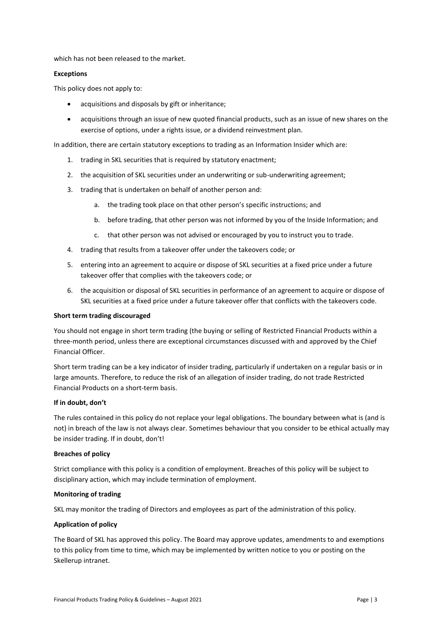which has not been released to the market.

#### **Exceptions**

This policy does not apply to:

- acquisitions and disposals by gift or inheritance;
- acquisitions through an issue of new quoted financial products, such as an issue of new shares on the exercise of options, under a rights issue, or a dividend reinvestment plan.

In addition, there are certain statutory exceptions to trading as an Information Insider which are:

- 1. trading in SKL securities that is required by statutory enactment;
- 2. the acquisition of SKL securities under an underwriting or sub-underwriting agreement;
- 3. trading that is undertaken on behalf of another person and:
	- a. the trading took place on that other person's specific instructions; and
	- b. before trading, that other person was not informed by you of the Inside Information; and
	- c. that other person was not advised or encouraged by you to instruct you to trade.
- 4. trading that results from a takeover offer under the takeovers code; or
- 5. entering into an agreement to acquire or dispose of SKL securities at a fixed price under a future takeover offer that complies with the takeovers code; or
- 6. the acquisition or disposal of SKL securities in performance of an agreement to acquire or dispose of SKL securities at a fixed price under a future takeover offer that conflicts with the takeovers code.

#### **Short term trading discouraged**

You should not engage in short term trading (the buying or selling of Restricted Financial Products within a three-month period, unless there are exceptional circumstances discussed with and approved by the Chief Financial Officer.

Short term trading can be a key indicator of insider trading, particularly if undertaken on a regular basis or in large amounts. Therefore, to reduce the risk of an allegation of insider trading, do not trade Restricted Financial Products on a short-term basis.

#### **If in doubt, don't**

The rules contained in this policy do not replace your legal obligations. The boundary between what is (and is not) in breach of the law is not always clear. Sometimes behaviour that you consider to be ethical actually may be insider trading. If in doubt, don't!

#### **Breaches of policy**

Strict compliance with this policy is a condition of employment. Breaches of this policy will be subject to disciplinary action, which may include termination of employment.

#### **Monitoring of trading**

SKL may monitor the trading of Directors and employees as part of the administration of this policy.

#### **Application of policy**

The Board of SKL has approved this policy. The Board may approve updates, amendments to and exemptions to this policy from time to time, which may be implemented by written notice to you or posting on the Skellerup intranet.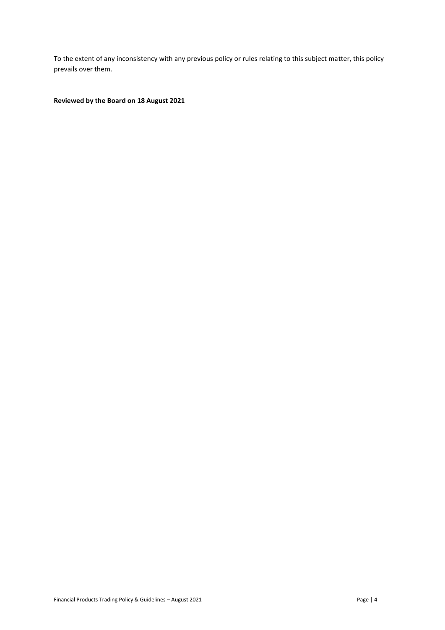To the extent of any inconsistency with any previous policy or rules relating to this subject matter, this policy prevails over them.

## **Reviewed by the Board on 18 August 2021**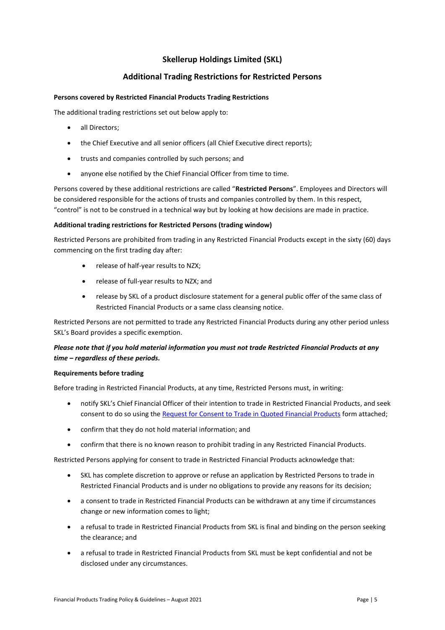# **Skellerup Holdings Limited (SKL)**

## **Additional Trading Restrictions for Restricted Persons**

### **Persons covered by Restricted Financial Products Trading Restrictions**

The additional trading restrictions set out below apply to:

- all Directors;
- the Chief Executive and all senior officers (all Chief Executive direct reports);
- trusts and companies controlled by such persons; and
- anyone else notified by the Chief Financial Officer from time to time.

Persons covered by these additional restrictions are called "**Restricted Persons**". Employees and Directors will be considered responsible for the actions of trusts and companies controlled by them. In this respect, "control" is not to be construed in a technical way but by looking at how decisions are made in practice.

## **Additional trading restrictions for Restricted Persons (trading window)**

Restricted Persons are prohibited from trading in any Restricted Financial Products except in the sixty (60) days commencing on the first trading day after:

- release of half-year results to NZX;
- release of full-year results to NZX; and
- release by SKL of a product disclosure statement for a general public offer of the same class of Restricted Financial Products or a same class cleansing notice.

Restricted Persons are not permitted to trade any Restricted Financial Products during any other period unless SKL's Board provides a specific exemption.

## *Please note that if you hold material information you must not trade Restricted Financial Products at any time – regardless of these periods.*

## **Requirements before trading**

Before trading in Restricted Financial Products, at any time, Restricted Persons must, in writing:

- notify SKL's Chief Financial Officer of their intention to trade in Restricted Financial Products, and seek consent to do so using the Request for Consent to Trade in Quoted Financial Products form attached;
- confirm that they do not hold material information; and
- confirm that there is no known reason to prohibit trading in any Restricted Financial Products.

Restricted Persons applying for consent to trade in Restricted Financial Products acknowledge that:

- SKL has complete discretion to approve or refuse an application by Restricted Persons to trade in Restricted Financial Products and is under no obligations to provide any reasons for its decision;
- a consent to trade in Restricted Financial Products can be withdrawn at any time if circumstances change or new information comes to light;
- a refusal to trade in Restricted Financial Products from SKL is final and binding on the person seeking the clearance; and
- a refusal to trade in Restricted Financial Products from SKL must be kept confidential and not be disclosed under any circumstances.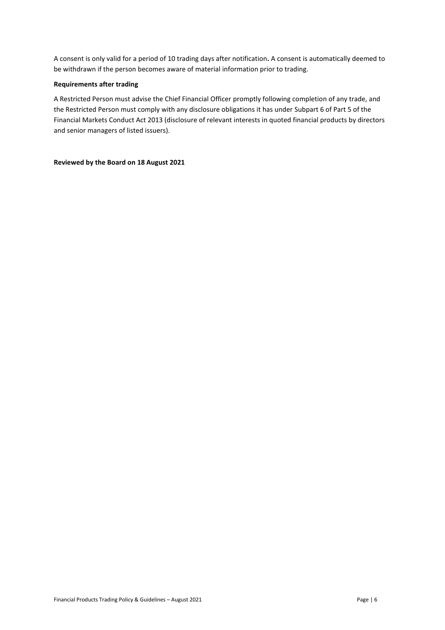A consent is only valid for a period of 10 trading days after notification**.** A consent is automatically deemed to be withdrawn if the person becomes aware of material information prior to trading.

#### **Requirements after trading**

A Restricted Person must advise the Chief Financial Officer promptly following completion of any trade, and the Restricted Person must comply with any disclosure obligations it has under Subpart 6 of Part 5 of the Financial Markets Conduct Act 2013 (disclosure of relevant interests in quoted financial products by directors and senior managers of listed issuers).

### **Reviewed by the Board on 18 August 2021**